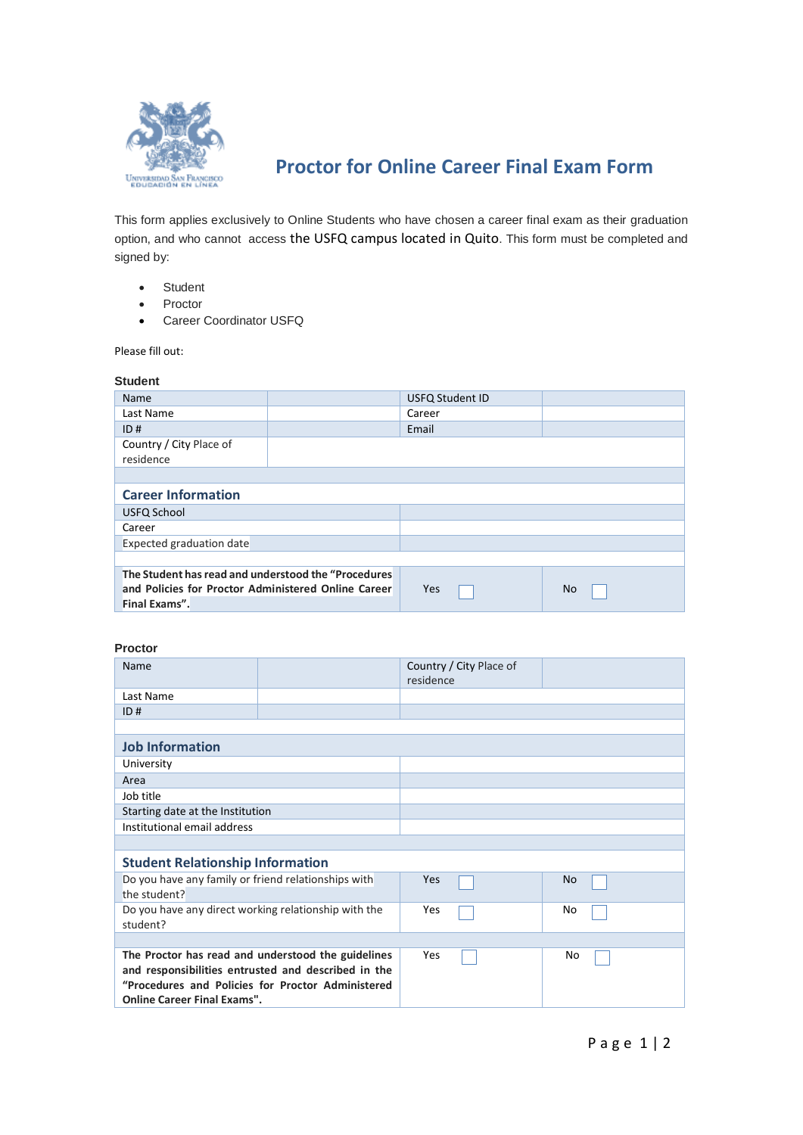

# **Proctor for Online Career Final Exam Form**

This form applies exclusively to Online Students who have chosen a career final exam as their graduation option, and who cannot access the USFQ campus located in Quito. This form must be completed and signed by:

- Student
- Proctor
- Career Coordinator USFQ

Please fill out:

# **Student**

| Name                                                                                                                        |  | <b>USFQ Student ID</b> |           |  |
|-----------------------------------------------------------------------------------------------------------------------------|--|------------------------|-----------|--|
| Last Name                                                                                                                   |  | Career                 |           |  |
| ID#                                                                                                                         |  | Email                  |           |  |
| Country / City Place of<br>residence                                                                                        |  |                        |           |  |
|                                                                                                                             |  |                        |           |  |
| <b>Career Information</b>                                                                                                   |  |                        |           |  |
| USFQ School                                                                                                                 |  |                        |           |  |
| Career                                                                                                                      |  |                        |           |  |
| <b>Expected graduation date</b>                                                                                             |  |                        |           |  |
|                                                                                                                             |  |                        |           |  |
| The Student has read and understood the "Procedures<br>and Policies for Proctor Administered Online Career<br>Final Exams". |  | <b>Yes</b>             | <b>No</b> |  |

## **Proctor**

| <b>Name</b>                                          |                                                     | Country / City Place of<br>residence |           |  |
|------------------------------------------------------|-----------------------------------------------------|--------------------------------------|-----------|--|
| Last Name                                            |                                                     |                                      |           |  |
| ID#                                                  |                                                     |                                      |           |  |
|                                                      |                                                     |                                      |           |  |
| <b>Job Information</b>                               |                                                     |                                      |           |  |
| University                                           |                                                     |                                      |           |  |
| Area                                                 |                                                     |                                      |           |  |
| Job title                                            |                                                     |                                      |           |  |
| Starting date at the Institution                     |                                                     |                                      |           |  |
| Institutional email address                          |                                                     |                                      |           |  |
|                                                      |                                                     |                                      |           |  |
| <b>Student Relationship Information</b>              |                                                     |                                      |           |  |
| Do you have any family or friend relationships with  |                                                     | Yes                                  | <b>No</b> |  |
| the student?                                         |                                                     |                                      |           |  |
| Do you have any direct working relationship with the |                                                     | Yes                                  | No        |  |
| student?                                             |                                                     |                                      |           |  |
|                                                      |                                                     |                                      |           |  |
| The Proctor has read and understood the guidelines   |                                                     | Yes                                  | No        |  |
|                                                      | and responsibilities entrusted and described in the |                                      |           |  |
|                                                      | "Procedures and Policies for Proctor Administered   |                                      |           |  |
| <b>Online Career Final Exams".</b>                   |                                                     |                                      |           |  |